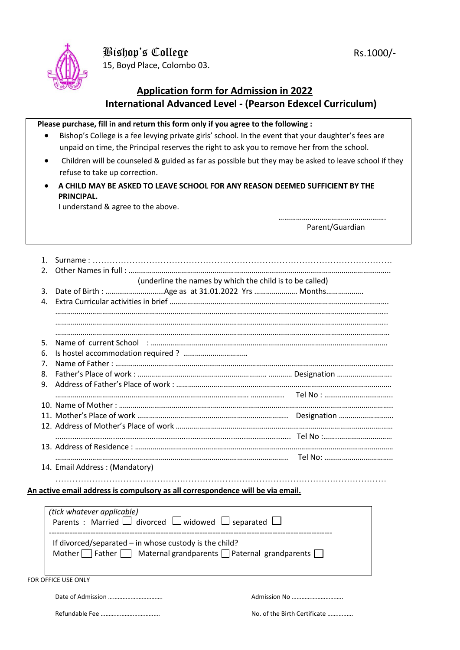

15, Boyd Place, Colombo 03.

## **Application form for Admission in 2022 International Advanced Level - (Pearson Edexcel Curriculum)**

## **Please purchase, fill in and return this form only if you agree to the following :**

- Bishop's College is a fee levying private girls' school. In the event that your daughter's fees are unpaid on time, the Principal reserves the right to ask you to remove her from the school.
- Children will be counseled & guided as far as possible but they may be asked to leave school if they refuse to take up correction.
- **A CHILD MAY BE ASKED TO LEAVE SCHOOL FOR ANY REASON DEEMED SUFFICIENT BY THE PRINCIPAL.**

I understand & agree to the above.

 ………………………………………………. Parent/Guardian

| 2.             |                                                                                |
|----------------|--------------------------------------------------------------------------------|
|                | (underline the names by which the child is to be called)                       |
| 3.             |                                                                                |
| 4.             |                                                                                |
|                |                                                                                |
|                |                                                                                |
|                |                                                                                |
| .5.            |                                                                                |
| 6.             |                                                                                |
| 7 <sub>1</sub> |                                                                                |
| 8.             |                                                                                |
| 9.             |                                                                                |
|                |                                                                                |
|                |                                                                                |
|                |                                                                                |
|                |                                                                                |
|                |                                                                                |
|                |                                                                                |
|                |                                                                                |
|                | 14. Email Address: (Mandatory)                                                 |
|                |                                                                                |
|                | An active email address is compulsory as all correspondence will be via email. |
|                |                                                                                |
|                |                                                                                |

| (tick whatever applicable)                                                            |
|---------------------------------------------------------------------------------------|
| Parents : Married $\Box$ divorced $\Box$ widowed $\Box$ separated $\Box$              |
|                                                                                       |
| If divorced/separated $-$ in whose custody is the child?                              |
| Mother $\Box$ Father $\Box$ Maternal grandparents $\Box$ Paternal grandparents $\Box$ |
|                                                                                       |
|                                                                                       |

FOR OFFICE USE ONLY

Refundable Fee ………………………………. No. of the Birth Certificate …………….